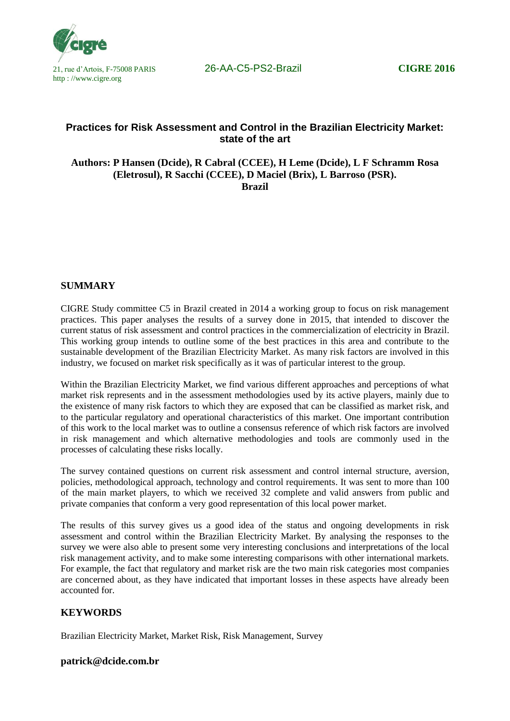

# **Practices for Risk Assessment and Control in the Brazilian Electricity Market: state of the art**

**Authors: P Hansen (Dcide), R Cabral (CCEE), H Leme (Dcide), L F Schramm Rosa (Eletrosul), R Sacchi (CCEE), D Maciel (Brix), L Barroso (PSR). Brazil**

## **SUMMARY**

CIGRE Study committee C5 in Brazil created in 2014 a working group to focus on risk management practices. This paper analyses the results of a survey done in 2015, that intended to discover the current status of risk assessment and control practices in the commercialization of electricity in Brazil. This working group intends to outline some of the best practices in this area and contribute to the sustainable development of the Brazilian Electricity Market. As many risk factors are involved in this industry, we focused on market risk specifically as it was of particular interest to the group.

Within the Brazilian Electricity Market, we find various different approaches and perceptions of what market risk represents and in the assessment methodologies used by its active players, mainly due to the existence of many risk factors to which they are exposed that can be classified as market risk, and to the particular regulatory and operational characteristics of this market. One important contribution of this work to the local market was to outline a consensus reference of which risk factors are involved in risk management and which alternative methodologies and tools are commonly used in the processes of calculating these risks locally.

The survey contained questions on current risk assessment and control internal structure, aversion, policies, methodological approach, technology and control requirements. It was sent to more than 100 of the main market players, to which we received 32 complete and valid answers from public and private companies that conform a very good representation of this local power market.

The results of this survey gives us a good idea of the status and ongoing developments in risk assessment and control within the Brazilian Electricity Market. By analysing the responses to the survey we were also able to present some very interesting conclusions and interpretations of the local risk management activity, and to make some interesting comparisons with other international markets. For example, the fact that regulatory and market risk are the two main risk categories most companies are concerned about, as they have indicated that important losses in these aspects have already been accounted for.

## **KEYWORDS**

Brazilian Electricity Market, Market Risk, Risk Management, Survey

## **patrick@dcide.com.br**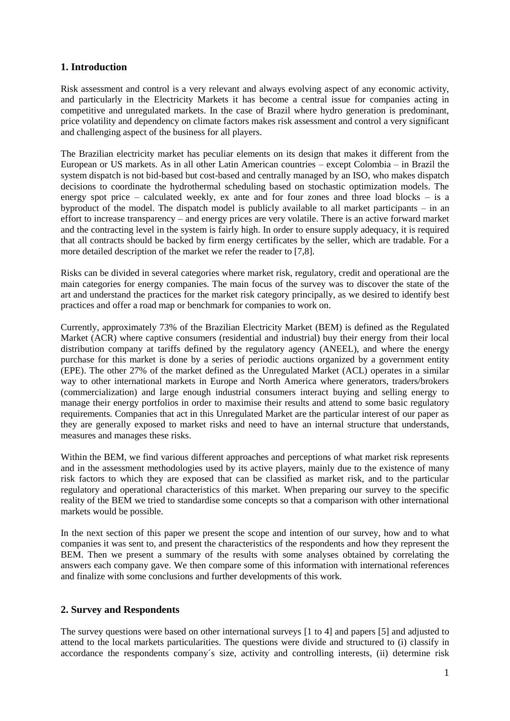## **1. Introduction**

Risk assessment and control is a very relevant and always evolving aspect of any economic activity, and particularly in the Electricity Markets it has become a central issue for companies acting in competitive and unregulated markets. In the case of Brazil where hydro generation is predominant, price volatility and dependency on climate factors makes risk assessment and control a very significant and challenging aspect of the business for all players.

The Brazilian electricity market has peculiar elements on its design that makes it different from the European or US markets. As in all other Latin American countries – except Colombia – in Brazil the system dispatch is not bid-based but cost-based and centrally managed by an ISO, who makes dispatch decisions to coordinate the hydrothermal scheduling based on stochastic optimization models. The energy spot price – calculated weekly, ex ante and for four zones and three load blocks – is a byproduct of the model. The dispatch model is publicly available to all market participants – in an effort to increase transparency – and energy prices are very volatile. There is an active forward market and the contracting level in the system is fairly high. In order to ensure supply adequacy, it is required that all contracts should be backed by firm energy certificates by the seller, which are tradable. For a more detailed description of the market we refer the reader to [7,8].

Risks can be divided in several categories where market risk, regulatory, credit and operational are the main categories for energy companies. The main focus of the survey was to discover the state of the art and understand the practices for the market risk category principally, as we desired to identify best practices and offer a road map or benchmark for companies to work on.

Currently, approximately 73% of the Brazilian Electricity Market (BEM) is defined as the Regulated Market (ACR) where captive consumers (residential and industrial) buy their energy from their local distribution company at tariffs defined by the regulatory agency (ANEEL), and where the energy purchase for this market is done by a series of periodic auctions organized by a government entity (EPE). The other 27% of the market defined as the Unregulated Market (ACL) operates in a similar way to other international markets in Europe and North America where generators, traders/brokers (commercialization) and large enough industrial consumers interact buying and selling energy to manage their energy portfolios in order to maximise their results and attend to some basic regulatory requirements. Companies that act in this Unregulated Market are the particular interest of our paper as they are generally exposed to market risks and need to have an internal structure that understands, measures and manages these risks.

Within the BEM, we find various different approaches and perceptions of what market risk represents and in the assessment methodologies used by its active players, mainly due to the existence of many risk factors to which they are exposed that can be classified as market risk, and to the particular regulatory and operational characteristics of this market. When preparing our survey to the specific reality of the BEM we tried to standardise some concepts so that a comparison with other international markets would be possible.

In the next section of this paper we present the scope and intention of our survey, how and to what companies it was sent to, and present the characteristics of the respondents and how they represent the BEM. Then we present a summary of the results with some analyses obtained by correlating the answers each company gave. We then compare some of this information with international references and finalize with some conclusions and further developments of this work.

## **2. Survey and Respondents**

The survey questions were based on other international surveys [1 to 4] and papers [5] and adjusted to attend to the local markets particularities. The questions were divide and structured to (i) classify in accordance the respondents company´s size, activity and controlling interests, (ii) determine risk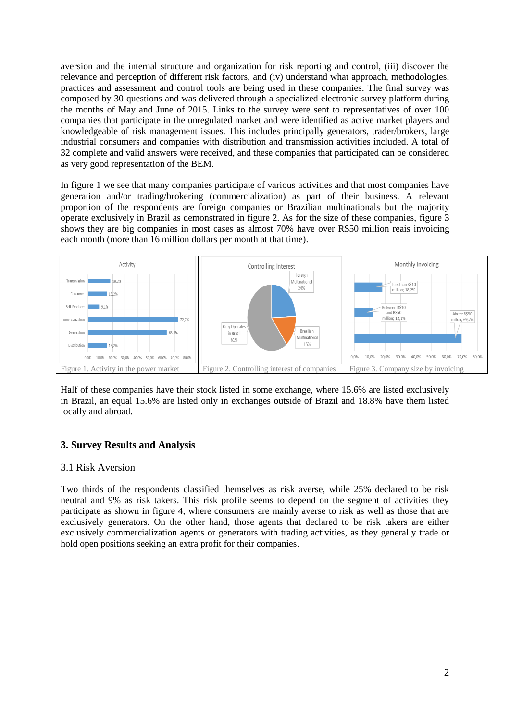aversion and the internal structure and organization for risk reporting and control, (iii) discover the relevance and perception of different risk factors, and (iv) understand what approach, methodologies, practices and assessment and control tools are being used in these companies. The final survey was composed by 30 questions and was delivered through a specialized electronic survey platform during the months of May and June of 2015. Links to the survey were sent to representatives of over 100 companies that participate in the unregulated market and were identified as active market players and knowledgeable of risk management issues. This includes principally generators, trader/brokers, large industrial consumers and companies with distribution and transmission activities included. A total of 32 complete and valid answers were received, and these companies that participated can be considered as very good representation of the BEM.

In figure 1 we see that many companies participate of various activities and that most companies have generation and/or trading/brokering (commercialization) as part of their business. A relevant proportion of the respondents are foreign companies or Brazilian multinationals but the majority operate exclusively in Brazil as demonstrated in figure 2. As for the size of these companies, figure 3 shows they are big companies in most cases as almost 70% have over R\$50 million reais invoicing each month (more than 16 million dollars per month at that time).



Half of these companies have their stock listed in some exchange, where 15.6% are listed exclusively in Brazil, an equal 15.6% are listed only in exchanges outside of Brazil and 18.8% have them listed locally and abroad.

## **3. Survey Results and Analysis**

#### 3.1 Risk Aversion

Two thirds of the respondents classified themselves as risk averse, while 25% declared to be risk neutral and 9% as risk takers. This risk profile seems to depend on the segment of activities they participate as shown in figure 4, where consumers are mainly averse to risk as well as those that are exclusively generators. On the other hand, those agents that declared to be risk takers are either exclusively commercialization agents or generators with trading activities, as they generally trade or hold open positions seeking an extra profit for their companies.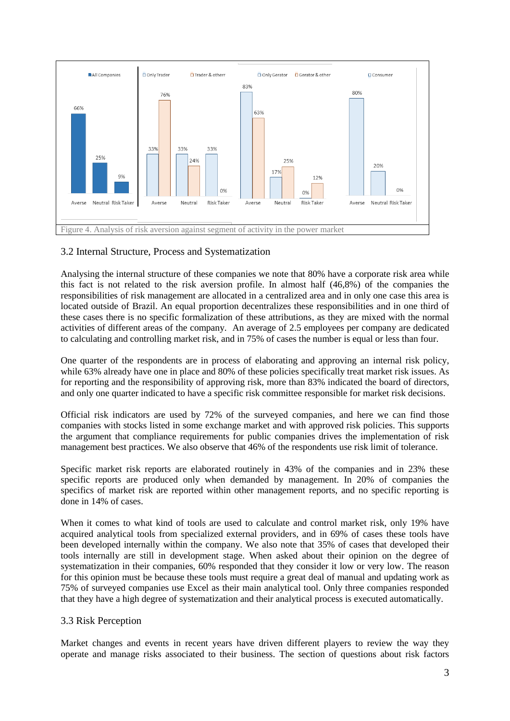

## 3.2 Internal Structure, Process and Systematization

Analysing the internal structure of these companies we note that 80% have a corporate risk area while this fact is not related to the risk aversion profile. In almost half (46,8%) of the companies the responsibilities of risk management are allocated in a centralized area and in only one case this area is located outside of Brazil. An equal proportion decentralizes these responsibilities and in one third of these cases there is no specific formalization of these attributions, as they are mixed with the normal activities of different areas of the company. An average of 2.5 employees per company are dedicated to calculating and controlling market risk, and in 75% of cases the number is equal or less than four.

One quarter of the respondents are in process of elaborating and approving an internal risk policy, while 63% already have one in place and 80% of these policies specifically treat market risk issues. As for reporting and the responsibility of approving risk, more than 83% indicated the board of directors, and only one quarter indicated to have a specific risk committee responsible for market risk decisions.

Official risk indicators are used by 72% of the surveyed companies, and here we can find those companies with stocks listed in some exchange market and with approved risk policies. This supports the argument that compliance requirements for public companies drives the implementation of risk management best practices. We also observe that 46% of the respondents use risk limit of tolerance.

Specific market risk reports are elaborated routinely in 43% of the companies and in 23% these specific reports are produced only when demanded by management. In 20% of companies the specifics of market risk are reported within other management reports, and no specific reporting is done in 14% of cases.

When it comes to what kind of tools are used to calculate and control market risk, only 19% have acquired analytical tools from specialized external providers, and in 69% of cases these tools have been developed internally within the company. We also note that 35% of cases that developed their tools internally are still in development stage. When asked about their opinion on the degree of systematization in their companies, 60% responded that they consider it low or very low. The reason for this opinion must be because these tools must require a great deal of manual and updating work as 75% of surveyed companies use Excel as their main analytical tool. Only three companies responded that they have a high degree of systematization and their analytical process is executed automatically.

## 3.3 Risk Perception

Market changes and events in recent years have driven different players to review the way they operate and manage risks associated to their business. The section of questions about risk factors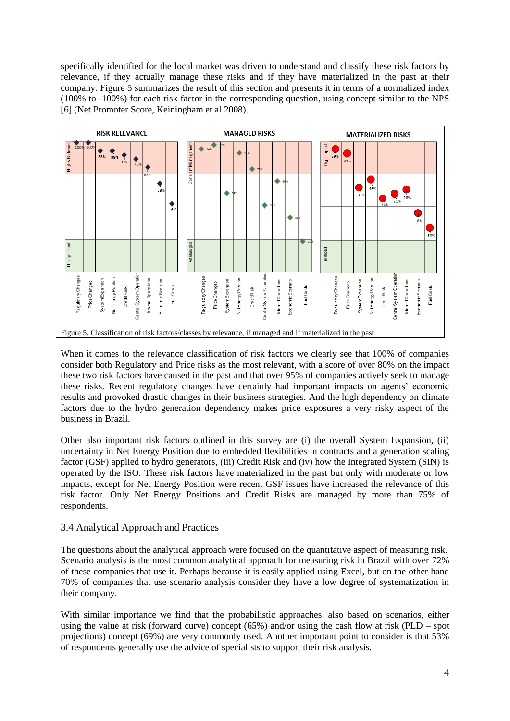specifically identified for the local market was driven to understand and classify these risk factors by relevance, if they actually manage these risks and if they have materialized in the past at their company. Figure 5 summarizes the result of this section and presents it in terms of a normalized index (100% to -100%) for each risk factor in the corresponding question, using concept similar to the NPS [6] (Net Promoter Score, Keiningham et al 2008).



When it comes to the relevance classification of risk factors we clearly see that 100% of companies consider both Regulatory and Price risks as the most relevant, with a score of over 80% on the impact these two risk factors have caused in the past and that over 95% of companies actively seek to manage these risks. Recent regulatory changes have certainly had important impacts on agents' economic results and provoked drastic changes in their business strategies. And the high dependency on climate factors due to the hydro generation dependency makes price exposures a very risky aspect of the business in Brazil.

Other also important risk factors outlined in this survey are (i) the overall System Expansion, (ii) uncertainty in Net Energy Position due to embedded flexibilities in contracts and a generation scaling factor (GSF) applied to hydro generators, (iii) Credit Risk and (iv) how the Integrated System (SIN) is operated by the ISO. These risk factors have materialized in the past but only with moderate or low impacts, except for Net Energy Position were recent GSF issues have increased the relevance of this risk factor. Only Net Energy Positions and Credit Risks are managed by more than 75% of respondents.

## 3.4 Analytical Approach and Practices

The questions about the analytical approach were focused on the quantitative aspect of measuring risk. Scenario analysis is the most common analytical approach for measuring risk in Brazil with over 72% of these companies that use it. Perhaps because it is easily applied using Excel, but on the other hand 70% of companies that use scenario analysis consider they have a low degree of systematization in their company.

With similar importance we find that the probabilistic approaches, also based on scenarios, either using the value at risk (forward curve) concept (65%) and/or using the cash flow at risk (PLD – spot projections) concept (69%) are very commonly used. Another important point to consider is that 53% of respondents generally use the advice of specialists to support their risk analysis.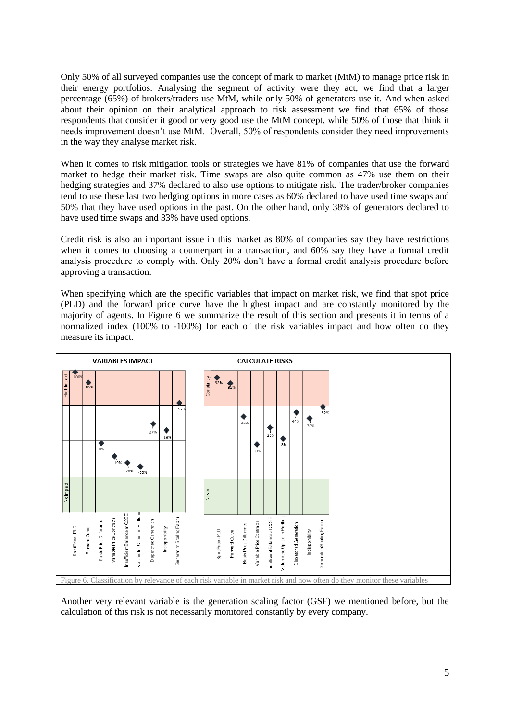Only 50% of all surveyed companies use the concept of mark to market (MtM) to manage price risk in their energy portfolios. Analysing the segment of activity were they act, we find that a larger percentage (65%) of brokers/traders use MtM, while only 50% of generators use it. And when asked about their opinion on their analytical approach to risk assessment we find that 65% of those respondents that consider it good or very good use the MtM concept, while 50% of those that think it needs improvement doesn't use MtM. Overall, 50% of respondents consider they need improvements in the way they analyse market risk.

When it comes to risk mitigation tools or strategies we have 81% of companies that use the forward market to hedge their market risk. Time swaps are also quite common as 47% use them on their hedging strategies and 37% declared to also use options to mitigate risk. The trader/broker companies tend to use these last two hedging options in more cases as 60% declared to have used time swaps and 50% that they have used options in the past. On the other hand, only 38% of generators declared to have used time swaps and 33% have used options.

Credit risk is also an important issue in this market as 80% of companies say they have restrictions when it comes to choosing a counterpart in a transaction, and 60% say they have a formal credit analysis procedure to comply with. Only 20% don't have a formal credit analysis procedure before approving a transaction.

When specifying which are the specific variables that impact on market risk, we find that spot price (PLD) and the forward price curve have the highest impact and are constantly monitored by the majority of agents. In Figure 6 we summarize the result of this section and presents it in terms of a normalized index (100% to -100%) for each of the risk variables impact and how often do they measure its impact.



Another very relevant variable is the generation scaling factor (GSF) we mentioned before, but the calculation of this risk is not necessarily monitored constantly by every company.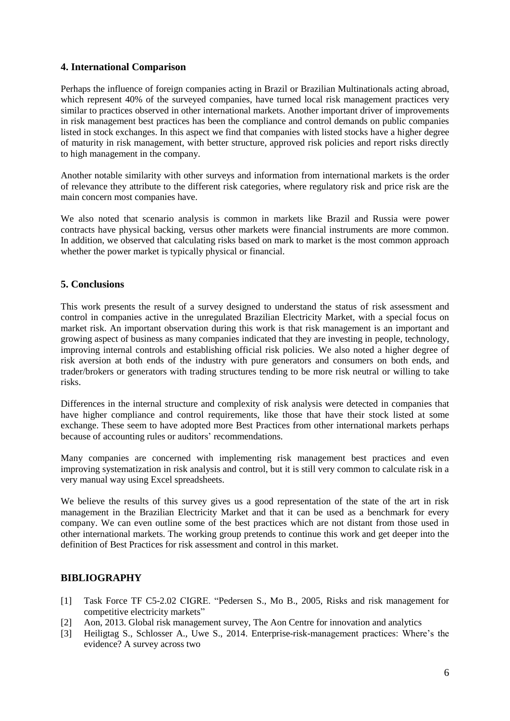## **4. International Comparison**

Perhaps the influence of foreign companies acting in Brazil or Brazilian Multinationals acting abroad, which represent 40% of the surveyed companies, have turned local risk management practices very similar to practices observed in other international markets. Another important driver of improvements in risk management best practices has been the compliance and control demands on public companies listed in stock exchanges. In this aspect we find that companies with listed stocks have a higher degree of maturity in risk management, with better structure, approved risk policies and report risks directly to high management in the company.

Another notable similarity with other surveys and information from international markets is the order of relevance they attribute to the different risk categories, where regulatory risk and price risk are the main concern most companies have.

We also noted that scenario analysis is common in markets like Brazil and Russia were power contracts have physical backing, versus other markets were financial instruments are more common. In addition, we observed that calculating risks based on mark to market is the most common approach whether the power market is typically physical or financial.

## **5. Conclusions**

This work presents the result of a survey designed to understand the status of risk assessment and control in companies active in the unregulated Brazilian Electricity Market, with a special focus on market risk. An important observation during this work is that risk management is an important and growing aspect of business as many companies indicated that they are investing in people, technology, improving internal controls and establishing official risk policies. We also noted a higher degree of risk aversion at both ends of the industry with pure generators and consumers on both ends, and trader/brokers or generators with trading structures tending to be more risk neutral or willing to take risks.

Differences in the internal structure and complexity of risk analysis were detected in companies that have higher compliance and control requirements, like those that have their stock listed at some exchange. These seem to have adopted more Best Practices from other international markets perhaps because of accounting rules or auditors' recommendations.

Many companies are concerned with implementing risk management best practices and even improving systematization in risk analysis and control, but it is still very common to calculate risk in a very manual way using Excel spreadsheets.

We believe the results of this survey gives us a good representation of the state of the art in risk management in the Brazilian Electricity Market and that it can be used as a benchmark for every company. We can even outline some of the best practices which are not distant from those used in other international markets. The working group pretends to continue this work and get deeper into the definition of Best Practices for risk assessment and control in this market.

## **BIBLIOGRAPHY**

- [1] Task Force TF C5-2.02 CIGRE. "Pedersen S., Mo B., 2005, Risks and risk management for competitive electricity markets"
- [2] Aon, 2013. Global risk management survey, The Aon Centre for innovation and analytics
- [3] Heiligtag S., Schlosser A., Uwe S., 2014. Enterprise-risk-management practices: Where's the evidence? A survey across two